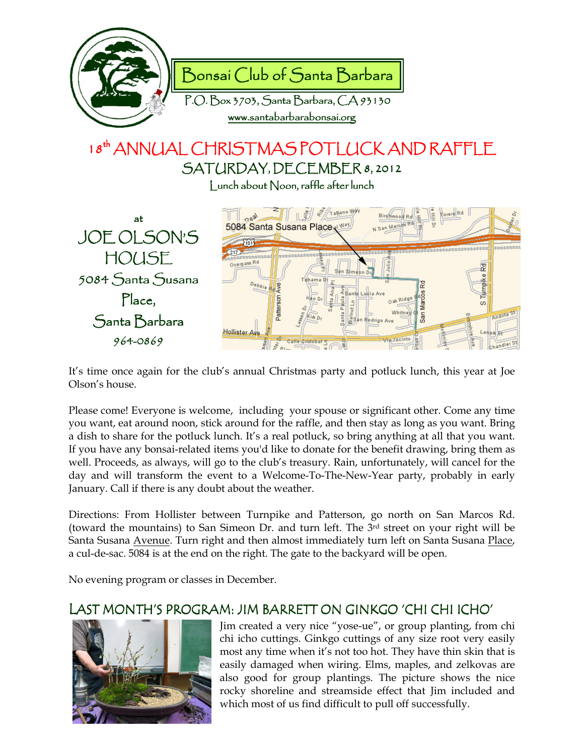

# 18<sup>th</sup> ANNUAL CHRISTMAS POTLUCK AND RAFFLE SATURDAY, DECEMBER 8, 2012

 $\vert$  unch about  $\vert$  oon, raffle after lunch



It's time once again for the club's annual Christmas party and potluck lunch, this year at Joe Olson's house.

Please come! Everyone is welcome, including your spouse or significant other. Come any time you want, eat around noon, stick around for the raffle, and then stay as long as you want. Bring a dish to share for the potluck lunch. It's a real potluck, so bring anything at all that you want. If you have any bonsai-related items you'd like to donate for the benefit drawing, bring them as well. Proceeds, as always, will go to the club's treasury. Rain, unfortunately, will cancel for the day and will transform the event to a Welcome-To-The-New-Year party, probably in early January. Call if there is any doubt about the weather.

Directions: From Hollister between Turnpike and Patterson, go north on San Marcos Rd. (toward the mountains) to San Simeon Dr. and turn left. The 3rd street on your right will be Santa Susana Avenue. Turn right and then almost immediately turn left on Santa Susana Place, a cul-de-sac. 5084 is at the end on the right. The gate to the backyard will be open.

No evening program or classes in December.

### LAST MONTH'S PROGRAM: JIM BARRETT ON GINKGO 'CHI CHI ICHO'



Jim created a very nice "yose-ue", or group planting, from chi chi icho cuttings. Ginkgo cuttings of any size root very easily most any time when it's not too hot. They have thin skin that is easily damaged when wiring. Elms, maples, and zelkovas are also good for group plantings. The picture shows the nice rocky shoreline and streamside effect that Jim included and which most of us find difficult to pull off successfully.